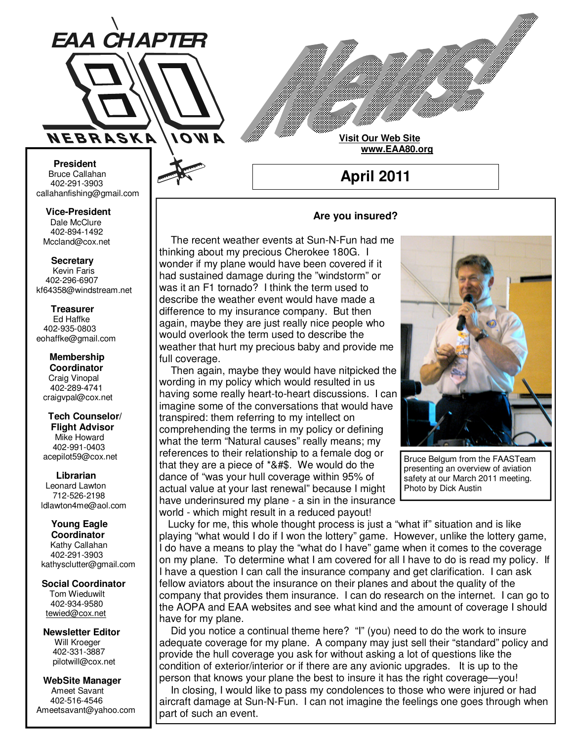

**Visit Our Web Site www.EAA80.org**

**April 2011** 

#### **Bruce Callahan** 402-291-3903 callahanfishing@gmail.com jrnuke@cox.net  **President**

Dale McClure 402-894-1492 Mccland@cox.net  **Vice-President** 

**Kevin Faris** 402-296-6907 kf64358@windstream.net  **Secretary** 

Ed Haffke 402-935-0803 eohaffke@gmail.com  **Treasurer** 

eohaffke@gmail.com **Membership Coordi- Coordinator**  Craig Vinopal Bob Cartwright 402-289-4741 craigvpal@cox.net  **Membership** 

robertc@novia.net **Tech Counselors & Flight Advisor** Mike Howard Bob Harvey 402-991-0403 acepilot59@cox.net  **Tech Counselor/** 

Leonard Lawton 402-991-0403 712-526-2198 ldlawton4me@aol.com  **Librarian**

**Librarian Young Eagle Coordinator** Kathy Callahan ldlawton4me@aol.com 402-291-3903 kathysclutter@gmail.com

 **Coordinator Social Coordinator**  Tom Wieduwilt 402-964-2645 402-934-9580 tewied@cox.net

**Newsletter Editor Newsletter Editor**  Will Kroeger Will Kroeger 402-331-3887 402-331-3887 pilotwill@cox.net

**WebSite Manager WebSite Manager**  Ameet Savant 402-516-4546 Ameet Savant<br>402-516-4546<br>Ameetsavant@yahoo.com

# **Are you insured?**

 The recent weather events at Sun-N-Fun had me thinking about my precious Cherokee 180G. I wonder if my plane would have been covered if it had sustained damage during the "windstorm" or was it an F1 tornado? I think the term used to describe the weather event would have made a difference to my insurance company. But then again, maybe they are just really nice people who would overlook the term used to describe the weather that hurt my precious baby and provide me full coverage.

 Then again, maybe they would have nitpicked the wording in my policy which would resulted in us having some really heart-to-heart discussions. I can imagine some of the conversations that would have transpired: them referring to my intellect on comprehending the terms in my policy or defining what the term "Natural causes" really means; my references to their relationship to a female dog or that they are a piece of \*&#\$. We would do the dance of "was your hull coverage within 95% of actual value at your last renewal" because I might have underinsured my plane - a sin in the insurance world - which might result in a reduced payout!



Bruce Belgum from the FAASTeam presenting an overview of aviation safety at our March 2011 meeting. Photo by Dick Austin

 Lucky for me, this whole thought process is just a "what if" situation and is like playing "what would I do if I won the lottery" game. However, unlike the lottery game, I do have a means to play the "what do I have" game when it comes to the coverage on my plane. To determine what I am covered for all I have to do is read my policy. If I have a question I can call the insurance company and get clarification. I can ask fellow aviators about the insurance on their planes and about the quality of the company that provides them insurance. I can do research on the internet. I can go to the AOPA and EAA websites and see what kind and the amount of coverage I should have for my plane.

 Did you notice a continual theme here? "I" (you) need to do the work to insure adequate coverage for my plane. A company may just sell their "standard" policy and provide the hull coverage you ask for without asking a lot of questions like the condition of exterior/interior or if there are any avionic upgrades. It is up to the person that knows your plane the best to insure it has the right coverage—you!

 In closing, I would like to pass my condolences to those who were injured or had aircraft damage at Sun-N-Fun. I can not imagine the feelings one goes through when part of such an event.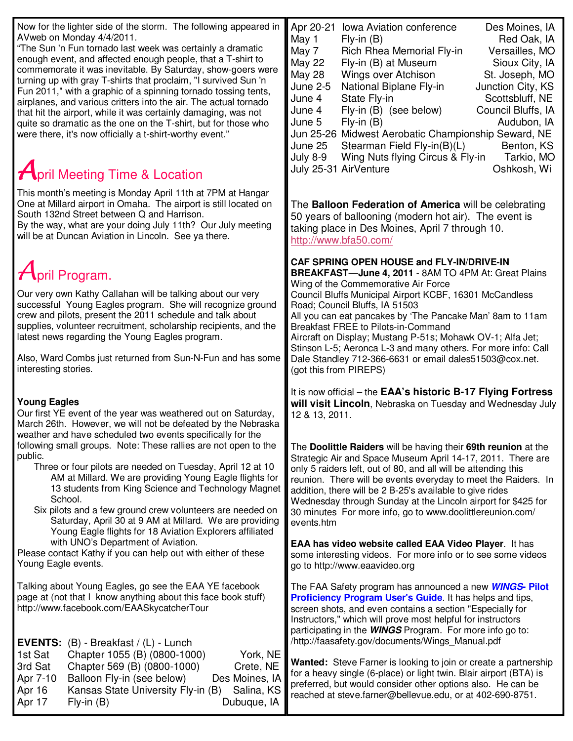| Now for the lighter side of the storm. The following appeared in                                                                                                                                                                                                                                                                                                                                                                                                                                                                                                                                                                                                           | Apr 20-21<br><b>Iowa Aviation conference</b><br>Des Moines, IA                                                                                                                                                                                                                                                                                                                                                                                                                                                                                                                                                                                                 |
|----------------------------------------------------------------------------------------------------------------------------------------------------------------------------------------------------------------------------------------------------------------------------------------------------------------------------------------------------------------------------------------------------------------------------------------------------------------------------------------------------------------------------------------------------------------------------------------------------------------------------------------------------------------------------|----------------------------------------------------------------------------------------------------------------------------------------------------------------------------------------------------------------------------------------------------------------------------------------------------------------------------------------------------------------------------------------------------------------------------------------------------------------------------------------------------------------------------------------------------------------------------------------------------------------------------------------------------------------|
| AVweb on Monday 4/4/2011.<br>"The Sun 'n Fun tornado last week was certainly a dramatic<br>enough event, and affected enough people, that a T-shirt to<br>commemorate it was inevitable. By Saturday, show-goers were<br>turning up with gray T-shirts that proclaim, "I survived Sun 'n<br>Fun 2011," with a graphic of a spinning tornado tossing tents,<br>airplanes, and various critters into the air. The actual tornado<br>that hit the airport, while it was certainly damaging, was not<br>quite so dramatic as the one on the T-shirt, but for those who<br>were there, it's now officially a t-shirt-worthy event."<br><b>April Meeting Time &amp; Location</b> | May 1<br>$Fly-in(B)$<br>Red Oak, IA<br>May 7<br>Rich Rhea Memorial Fly-in<br>Versailles, MO<br><b>May 22</b><br>Fly-in (B) at Museum<br>Sioux City, IA<br><b>May 28</b><br>Wings over Atchison<br>St. Joseph, MO<br><b>June 2-5</b><br>National Biplane Fly-in<br>Junction City, KS<br>June 4<br>State Fly-in<br>Scottsbluff, NE<br>Fly-in (B) (see below)<br>Council Bluffs, IA<br>June 4<br>June 5<br>$Fly-in(B)$<br>Audubon, IA<br>Jun 25-26 Midwest Aerobatic Championship Seward, NE<br>June 25<br>Stearman Field Fly-in(B)(L)<br>Benton, KS<br><b>July 8-9</b><br>Wing Nuts flying Circus & Fly-in<br>Tarkio, MO<br>July 25-31 AirVenture<br>Oshkosh, Wi |
| This month's meeting is Monday April 11th at 7PM at Hangar                                                                                                                                                                                                                                                                                                                                                                                                                                                                                                                                                                                                                 |                                                                                                                                                                                                                                                                                                                                                                                                                                                                                                                                                                                                                                                                |
| One at Millard airport in Omaha. The airport is still located on<br>South 132nd Street between Q and Harrison.<br>By the way, what are your doing July 11th? Our July meeting<br>will be at Duncan Aviation in Lincoln. See ya there.                                                                                                                                                                                                                                                                                                                                                                                                                                      | The Balloon Federation of America will be celebrating<br>50 years of ballooning (modern hot air). The event is<br>taking place in Des Moines, April 7 through 10.<br>http://www.bfa50.com/                                                                                                                                                                                                                                                                                                                                                                                                                                                                     |
| $A$ pril Program.                                                                                                                                                                                                                                                                                                                                                                                                                                                                                                                                                                                                                                                          | CAF SPRING OPEN HOUSE and FLY-IN/DRIVE-IN<br>BREAKFAST-June 4, 2011 - 8AM TO 4PM At: Great Plains                                                                                                                                                                                                                                                                                                                                                                                                                                                                                                                                                              |
| Our very own Kathy Callahan will be talking about our very<br>successful Young Eagles program. She will recognize ground<br>crew and pilots, present the 2011 schedule and talk about<br>supplies, volunteer recruitment, scholarship recipients, and the<br>latest news regarding the Young Eagles program.                                                                                                                                                                                                                                                                                                                                                               | Wing of the Commemorative Air Force<br>Council Bluffs Municipal Airport KCBF, 16301 McCandless<br>Road; Council Bluffs, IA 51503<br>All you can eat pancakes by 'The Pancake Man' 8am to 11am<br><b>Breakfast FREE to Pilots-in-Command</b><br>Aircraft on Display; Mustang P-51s; Mohawk OV-1; Alfa Jet;                                                                                                                                                                                                                                                                                                                                                      |
| Also, Ward Combs just returned from Sun-N-Fun and has some<br>interesting stories.                                                                                                                                                                                                                                                                                                                                                                                                                                                                                                                                                                                         | Stinson L-5; Aeronca L-3 and many others. For more info: Call<br>Dale Standley 712-366-6631 or email dales51503@cox.net.<br>(got this from PIREPS)                                                                                                                                                                                                                                                                                                                                                                                                                                                                                                             |
| <b>Young Eagles</b><br>Our first YE event of the year was weathered out on Saturday,<br>March 26th. However, we will not be defeated by the Nebraska<br>weather and have scheduled two events specifically for the                                                                                                                                                                                                                                                                                                                                                                                                                                                         | It is now official - the EAA's historic B-17 Flying Fortress<br>will visit Lincoln, Nebraska on Tuesday and Wednesday July<br>12 & 13, 2011.                                                                                                                                                                                                                                                                                                                                                                                                                                                                                                                   |
| following small groups. Note: These rallies are not open to the<br>public.<br>Three or four pilots are needed on Tuesday, April 12 at 10<br>AM at Millard. We are providing Young Eagle flights for<br>13 students from King Science and Technology Magnet<br>School.<br>Six pilots and a few ground crew volunteers are needed on<br>Saturday, April 30 at 9 AM at Millard. We are providing<br>Young Eagle flights for 18 Aviation Explorers affiliated                                                                                                                                                                                                                  | The Doolittle Raiders will be having their 69th reunion at the<br>Strategic Air and Space Museum April 14-17, 2011. There are<br>only 5 raiders left, out of 80, and all will be attending this<br>reunion. There will be events everyday to meet the Raiders. In<br>addition, there will be 2 B-25's available to give rides<br>Wednesday through Sunday at the Lincoln airport for \$425 for<br>30 minutes For more info, go to www.doolittlereunion.com/<br>events.htm                                                                                                                                                                                      |
| with UNO's Department of Aviation.<br>Please contact Kathy if you can help out with either of these<br>Young Eagle events.                                                                                                                                                                                                                                                                                                                                                                                                                                                                                                                                                 | EAA has video website called EAA Video Player. It has<br>some interesting videos. For more info or to see some videos<br>go to http://www.eaavideo.org                                                                                                                                                                                                                                                                                                                                                                                                                                                                                                         |
| Talking about Young Eagles, go see the EAA YE facebook<br>page at (not that I know anything about this face book stuff)<br>http://www.facebook.com/EAASkycatcherTour                                                                                                                                                                                                                                                                                                                                                                                                                                                                                                       | The FAA Safety program has announced a new <b>WINGS-Pilot</b><br><b>Proficiency Program User's Guide.</b> It has helps and tips,<br>screen shots, and even contains a section "Especially for<br>Instructors," which will prove most helpful for instructors<br>participating in the <b>WINGS</b> Program. For more info go to:                                                                                                                                                                                                                                                                                                                                |
| <b>EVENTS:</b><br>$(B)$ - Breakfast / $(L)$ - Lunch<br>Chapter 1055 (B) (0800-1000)<br>1st Sat<br>York, NE<br>3rd Sat<br>Chapter 569 (B) (0800-1000)<br>Crete, NE<br>Balloon Fly-in (see below)<br>Apr 7-10<br>Des Moines, IA<br>Apr 16<br>Kansas State University Fly-in (B)<br>Salina, KS<br>Apr 17<br>Dubuque, IA<br>$Fly-in(B)$                                                                                                                                                                                                                                                                                                                                        | /http://faasafety.gov/documents/Wings_Manual.pdf<br>Wanted: Steve Farner is looking to join or create a partnership<br>for a heavy single (6-place) or light twin. Blair airport (BTA) is<br>preferred, but would consider other options also. He can be<br>reached at steve.farner@bellevue.edu, or at 402-690-8751.                                                                                                                                                                                                                                                                                                                                          |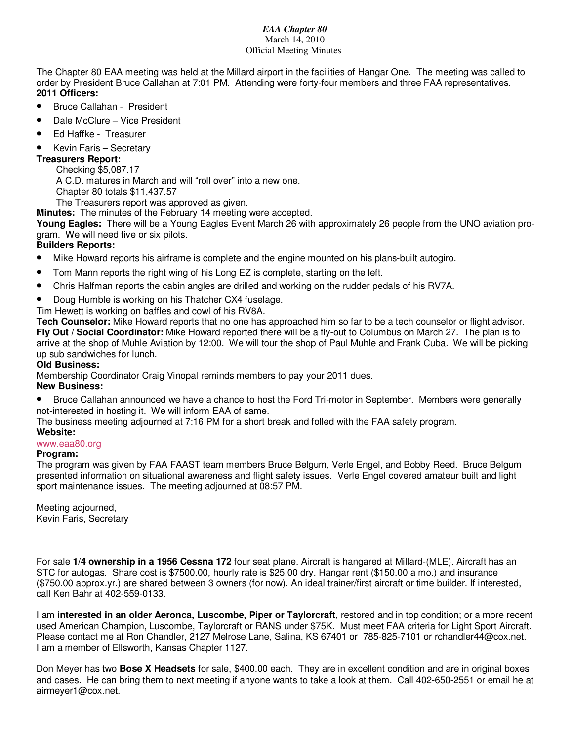### *EAA Chapter 80*  March 14, 2010 Official Meeting Minutes

The Chapter 80 EAA meeting was held at the Millard airport in the facilities of Hangar One. The meeting was called to order by President Bruce Callahan at 7:01 PM. Attending were forty-four members and three FAA representatives. **2011 Officers:** 

- Bruce Callahan President
- Dale McClure Vice President
- Ed Haffke Treasurer
- Kevin Faris Secretary

# **Treasurers Report:**

Checking \$5,087.17 A C.D. matures in March and will "roll over" into a new one. Chapter 80 totals \$11,437.57

The Treasurers report was approved as given.

**Minutes:** The minutes of the February 14 meeting were accepted.

**Young Eagles:** There will be a Young Eagles Event March 26 with approximately 26 people from the UNO aviation program. We will need five or six pilots.

# **Builders Reports:**

- Mike Howard reports his airframe is complete and the engine mounted on his plans-built autogiro.
- Tom Mann reports the right wing of his Long EZ is complete, starting on the left.
- Chris Halfman reports the cabin angles are drilled and working on the rudder pedals of his RV7A.
- Doug Humble is working on his Thatcher CX4 fuselage.
- Tim Hewett is working on baffles and cowl of his RV8A.

**Tech Counselor:** Mike Howard reports that no one has approached him so far to be a tech counselor or flight advisor. **Fly Out / Social Coordinator:** Mike Howard reported there will be a fly-out to Columbus on March 27. The plan is to arrive at the shop of Muhle Aviation by 12:00. We will tour the shop of Paul Muhle and Frank Cuba. We will be picking up sub sandwiches for lunch.

## **Old Business:**

Membership Coordinator Craig Vinopal reminds members to pay your 2011 dues.

## **New Business:**

• Bruce Callahan announced we have a chance to host the Ford Tri-motor in September. Members were generally not-interested in hosting it. We will inform EAA of same.

The business meeting adjourned at 7:16 PM for a short break and folled with the FAA safety program.

#### **Website:** www.eaa80.org

## **Program:**

The program was given by FAA FAAST team members Bruce Belgum, Verle Engel, and Bobby Reed. Bruce Belgum presented information on situational awareness and flight safety issues. Verle Engel covered amateur built and light sport maintenance issues. The meeting adjourned at 08:57 PM.

Meeting adjourned, Kevin Faris, Secretary

For sale **1/4 ownership in a 1956 Cessna 172** four seat plane. Aircraft is hangared at Millard-(MLE). Aircraft has an STC for autogas. Share cost is \$7500.00, hourly rate is \$25.00 dry. Hangar rent (\$150.00 a mo.) and insurance (\$750.00 approx.yr.) are shared between 3 owners (for now). An ideal trainer/first aircraft or time builder. If interested, call Ken Bahr at 402-559-0133.

I am **interested in an older Aeronca, Luscombe, Piper or Taylorcraft**, restored and in top condition; or a more recent used American Champion, Luscombe, Taylorcraft or RANS under \$75K. Must meet FAA criteria for Light Sport Aircraft. Please contact me at Ron Chandler, 2127 Melrose Lane, Salina, KS 67401 or 785-825-7101 or rchandler44@cox.net. I am a member of Ellsworth, Kansas Chapter 1127.

Don Meyer has two **Bose X Headsets** for sale, \$400.00 each. They are in excellent condition and are in original boxes and cases. He can bring them to next meeting if anyone wants to take a look at them. Call 402-650-2551 or email he at airmeyer1@cox.net.